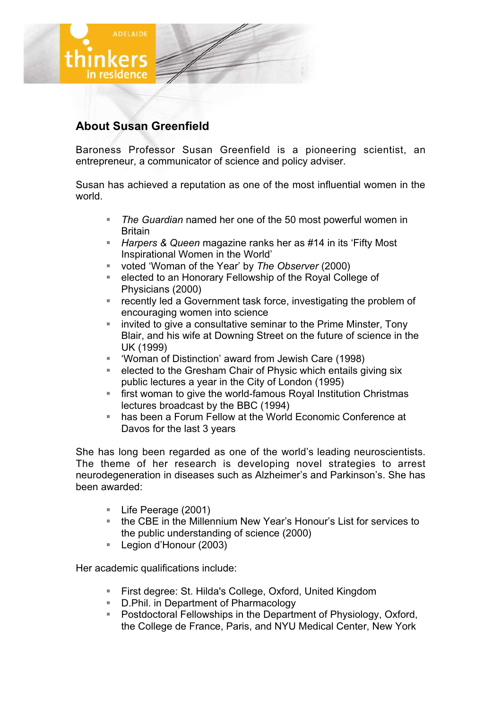

## **About Susan Greenfield**

Baroness Professor Susan Greenfield is a pioneering scientist, an entrepreneur, a communicator of science and policy adviser.

Susan has achieved a reputation as one of the most influential women in the world.

- *The Guardian* named her one of the 50 most powerful women in Britain
- *Harpers & Queen* magazine ranks her as #14 in its 'Fifty Most Inspirational Women in the World'
- voted 'Woman of the Year' by *The Observer* (2000)
- **Example 2** elected to an Honorary Fellowship of the Royal College of Physicians (2000)
- **F** recently led a Government task force, investigating the problem of encouraging women into science
- invited to give a consultative seminar to the Prime Minster, Tony Blair, and his wife at Downing Street on the future of science in the UK (1999)
- 'Woman of Distinction' award from Jewish Care (1998)
- **EXE** elected to the Gresham Chair of Physic which entails giving six public lectures a year in the City of London (1995)
- first woman to give the world-famous Royal Institution Christmas lectures broadcast by the BBC (1994)
- has been a Forum Fellow at the World Economic Conference at Davos for the last 3 years

She has long been regarded as one of the world's leading neuroscientists. The theme of her research is developing novel strategies to arrest neurodegeneration in diseases such as Alzheimer's and Parkinson's. She has been awarded:

- Life Peerage (2001)
- the CBE in the Millennium New Year's Honour's List for services to the public understanding of science (2000)
- Legion d'Honour (2003)

Her academic qualifications include:

- First degree: St. Hilda's College, Oxford, United Kingdom
- **D.Phil. in Department of Pharmacology**
- **Postdoctoral Fellowships in the Department of Physiology, Oxford,** the College de France, Paris, and NYU Medical Center, New York